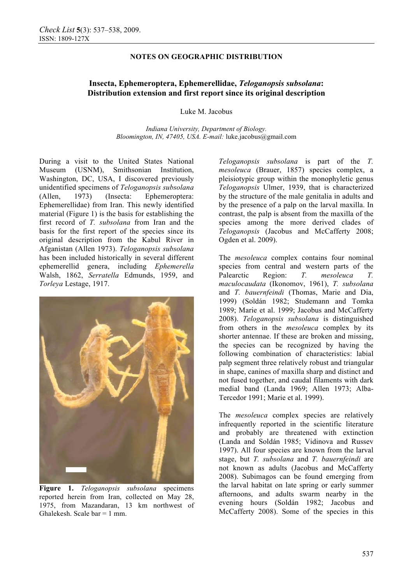## **NOTES ON GEOGRAPHIC DISTRIBUTION**

# **Insecta, Ephemeroptera, Ephemerellidae,** *Teloganopsis subsolana***: Distribution extension and first report since its original description**

Luke M. Jacobus

*Indiana University, Department of Biology. Bloomington, IN, 47405, USA. E-mail:* luke.jacobus@gmail.com

During a visit to the United States National Museum (USNM), Smithsonian Institution, Washington, DC, USA, I discovered previously unidentified specimens of *Teloganopsis subsolana* (Allen, 1973) (Insecta: Ephemeroptera: Ephemerellidae) from Iran. This newly identified material (Figure 1) is the basis for establishing the first record of *T. subsolana* from Iran and the basis for the first report of the species since its original description from the Kabul River in Afganistan (Allen 1973). *Teloganopsis subsolana* has been included historically in several different ephemerellid genera, including *Ephemerella* Walsh, 1862, *Serratella* Edmunds, 1959, and *Torleya* Lestage, 1917.



**Figure 1.** *Teloganopsis subsolana* specimens reported herein from Iran, collected on May 28, 1975, from Mazandaran, 13 km northwest of Ghalekesh. Scale bar  $= 1$  mm.

*Teloganopsis subsolana* is part of the *T. mesoleuca* (Brauer, 1857) species complex, a pleisiotypic group within the monophyletic genus *Teloganopsis* Ulmer, 1939, that is characterized by the structure of the male genitalia in adults and by the presence of a palp on the larval maxilla. In contrast, the palp is absent from the maxilla of the species among the more derived clades of *Teloganopsis* (Jacobus and McCafferty 2008; Ogden et al. 2009).

The *mesoleuca* complex contains four nominal species from central and western parts of the Palearctic Region: *T. mesoleuca T. maculocaudata* (Ikonomov, 1961), *T. subsolana* and *T. bauernfeindi* (Thomas, Marie and Dia, 1999) (Soldán 1982; Studemann and Tomka 1989; Marie et al. 1999; Jacobus and McCafferty 2008). *Teloganopsis subsolana* is distinguished from others in the *mesoleuca* complex by its shorter antennae. If these are broken and missing, the species can be recognized by having the following combination of characteristics: labial palp segment three relatively robust and triangular in shape, canines of maxilla sharp and distinct and not fused together, and caudal filaments with dark medial band (Landa 1969; Allen 1973; Alba-Tercedor 1991; Marie et al. 1999).

The *mesoleuca* complex species are relatively infrequently reported in the scientific literature and probably are threatened with extinction (Landa and Soldán 1985; Vidinova and Russev 1997). All four species are known from the larval stage, but *T. subsolana* and *T. bauernfeindi* are not known as adults (Jacobus and McCafferty 2008). Subimagos can be found emerging from the larval habitat on late spring or early summer afternoons, and adults swarm nearby in the evening hours (Soldán 1982; Jacobus and McCafferty 2008). Some of the species in this